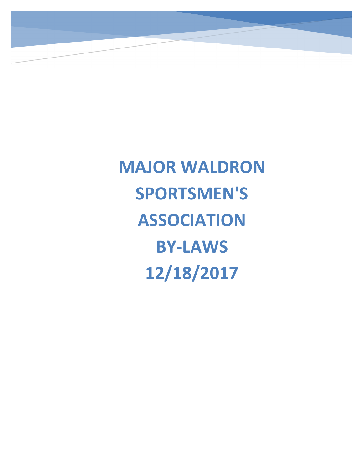**MAJOR WALDRON SPORTSMEN'S ASSOCIATION BY-LAWS 12/18/2017**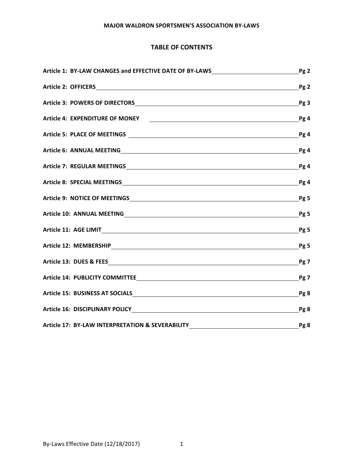# **TABLE OF CONTENTS**

| Article 1: BY-LAW CHANGES and EFFECTIVE DATE OF BY-LAWS | Pg <sub>2</sub>                                       |  |                                                                                  |  |                 |
|---------------------------------------------------------|-------------------------------------------------------|--|----------------------------------------------------------------------------------|--|-----------------|
|                                                         | Pg <sub>2</sub><br>Pg3<br>Pg 4<br>Pg 4<br>Pg4<br>Pg 4 |  |                                                                                  |  |                 |
|                                                         |                                                       |  | Pg 4                                                                             |  |                 |
|                                                         |                                                       |  | Pg <sub>5</sub><br>Pg <sub>5</sub><br>Pg <sub>5</sub><br>Pg <sub>5</sub><br>Pg 7 |  |                 |
|                                                         |                                                       |  |                                                                                  |  | Pg 7            |
|                                                         |                                                       |  |                                                                                  |  | Pg 8            |
|                                                         |                                                       |  |                                                                                  |  | Pg <sub>8</sub> |
| Article 17: BY-LAW INTERPRETATION & SEVERABILITY        | Pg 8                                                  |  |                                                                                  |  |                 |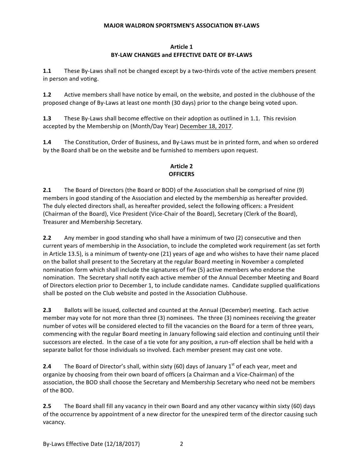## **Article 1 BY-LAW CHANGES and EFFECTIVE DATE OF BY-LAWS**

**1.1** These By-Laws shall not be changed except by a two-thirds vote of the active members present in person and voting.

**1.2** Active members shall have notice by email, on the website, and posted in the clubhouse of the proposed change of By-Laws at least one month (30 days) prior to the change being voted upon.

**1.3** These By-Laws shall become effective on their adoption as outlined in 1.1. This revision accepted by the Membership on (Month/Day Year) December 18, 2017.

**1.4** The Constitution, Order of Business, and By-Laws must be in printed form, and when so ordered by the Board shall be on the website and be furnished to members upon request.

# **Article 2 OFFICERS**

**2.1** The Board of Directors (the Board or BOD) of the Association shall be comprised of nine (9) members in good standing of the Association and elected by the membership as hereafter provided. The duly elected directors shall, as hereafter provided, select the following officers: a President (Chairman of the Board), Vice President (Vice-Chair of the Board), Secretary (Clerk of the Board), Treasurer and Membership Secretary.

**2.2** Any member in good standing who shall have a minimum of two (2) consecutive and then current years of membership in the Association, to include the completed work requirement (as set forth in Article 13.5), is a minimum of twenty-one (21) years of age and who wishes to have their name placed on the ballot shall present to the Secretary at the regular Board meeting in November a completed nomination form which shall include the signatures of five (5) active members who endorse the nomination. The Secretary shall notify each active member of the Annual December Meeting and Board of Directors election prior to December 1, to include candidate names. Candidate supplied qualifications shall be posted on the Club website and posted in the Association Clubhouse.

**2.3** Ballots will be issued, collected and counted at the Annual (December) meeting. Each active member may vote for not more than three (3) nominees. The three (3) nominees receiving the greater number of votes will be considered elected to fill the vacancies on the Board for a term of three years, commencing with the regular Board meeting in January following said election and continuing until their successors are elected. In the case of a tie vote for any position, a run-off election shall be held with a separate ballot for those individuals so involved. Each member present may cast one vote.

**2.4** The Board of Director's shall, within sixty (60) days of January 1<sup>st</sup> of each year, meet and organize by choosing from their own board of officers (a Chairman and a Vice-Chairman) of the association, the BOD shall choose the Secretary and Membership Secretary who need not be members of the BOD.

**2.5** The Board shall fill any vacancy in their own Board and any other vacancy within sixty (60) days of the occurrence by appointment of a new director for the unexpired term of the director causing such vacancy.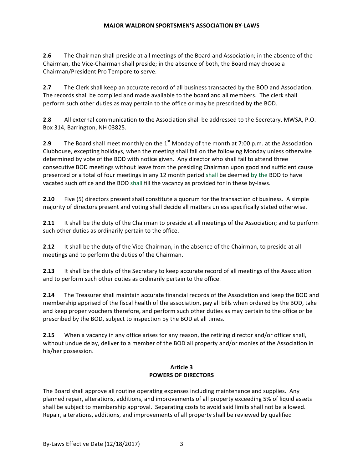**2.6** The Chairman shall preside at all meetings of the Board and Association; in the absence of the Chairman, the Vice-Chairman shall preside; in the absence of both, the Board may choose a Chairman/President Pro Tempore to serve.

**2.7** The Clerk shall keep an accurate record of all business transacted by the BOD and Association. The records shall be compiled and made available to the board and all members. The clerk shall perform such other duties as may pertain to the office or may be prescribed by the BOD.

**2.8** All external communication to the Association shall be addressed to the Secretary, MWSA, P.O. Box 314, Barrington, NH 03825.

**2.9** The Board shall meet monthly on the 1<sup>st</sup> Monday of the month at 7:00 p.m. at the Association Clubhouse, excepting holidays, when the meeting shall fall on the following Monday unless otherwise determined by vote of the BOD with notice given. Any director who shall fail to attend three consecutive BOD meetings without leave from the presiding Chairman upon good and sufficient cause presented or a total of four meetings in any 12 month period shall be deemed by the BOD to have vacated such office and the BOD shall fill the vacancy as provided for in these by-laws.

**2.10** Five (5) directors present shall constitute a quorum for the transaction of business. A simple majority of directors present and voting shall decide all matters unless specifically stated otherwise.

**2.11** It shall be the duty of the Chairman to preside at all meetings of the Association; and to perform such other duties as ordinarily pertain to the office.

**2.12** It shall be the duty of the Vice-Chairman, in the absence of the Chairman, to preside at all meetings and to perform the duties of the Chairman.

**2.13** It shall be the duty of the Secretary to keep accurate record of all meetings of the Association and to perform such other duties as ordinarily pertain to the office.

**2.14** The Treasurer shall maintain accurate financial records of the Association and keep the BOD and membership apprised of the fiscal health of the association, pay all bills when ordered by the BOD, take and keep proper vouchers therefore, and perform such other duties as may pertain to the office or be prescribed by the BOD, subject to inspection by the BOD at all times.

**2.15** When a vacancy in any office arises for any reason, the retiring director and/or officer shall, without undue delay, deliver to a member of the BOD all property and/or monies of the Association in his/her possession.

## **Article 3 POWERS OF DIRECTORS**

The Board shall approve all routine operating expenses including maintenance and supplies. Any planned repair, alterations, additions, and improvements of all property exceeding 5% of liquid assets shall be subject to membership approval. Separating costs to avoid said limits shall not be allowed. Repair, alterations, additions, and improvements of all property shall be reviewed by qualified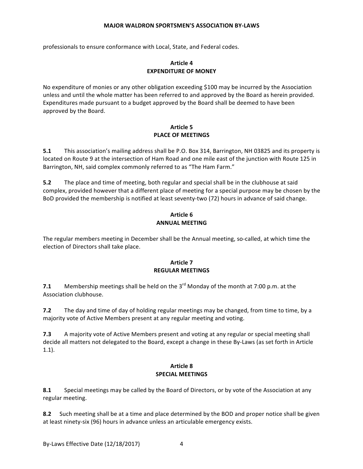professionals to ensure conformance with Local, State, and Federal codes.

## **Article 4 EXPENDITURE OF MONEY**

No expenditure of monies or any other obligation exceeding \$100 may be incurred by the Association unless and until the whole matter has been referred to and approved by the Board as herein provided. Expenditures made pursuant to a budget approved by the Board shall be deemed to have been approved by the Board.

# Article 5 **PLACE OF MEETINGS**

**5.1** This association's mailing address shall be P.O. Box 314, Barrington, NH 03825 and its property is located on Route 9 at the intersection of Ham Road and one mile east of the junction with Route 125 in Barrington, NH, said complex commonly referred to as "The Ham Farm."

**5.2** The place and time of meeting, both regular and special shall be in the clubhouse at said complex, provided however that a different place of meeting for a special purpose may be chosen by the BoD provided the membership is notified at least seventy-two (72) hours in advance of said change.

## **Article 6 ANNUAL MEETING**

The regular members meeting in December shall be the Annual meeting, so-called, at which time the election of Directors shall take place.

# **Article 7 REGULAR MEETINGS**

**7.1** Membership meetings shall be held on the 3<sup>rd</sup> Monday of the month at 7:00 p.m. at the Association clubhouse.

**7.2** The day and time of day of holding regular meetings may be changed, from time to time, by a majority vote of Active Members present at any regular meeting and voting.

**7.3** A majority vote of Active Members present and voting at any regular or special meeting shall decide all matters not delegated to the Board, except a change in these By-Laws (as set forth in Article 1.1).

## **Article 8 SPECIAL MEETINGS**

**8.1** Special meetings may be called by the Board of Directors, or by vote of the Association at any regular meeting.

**8.2** Such meeting shall be at a time and place determined by the BOD and proper notice shall be given at least ninety-six (96) hours in advance unless an articulable emergency exists.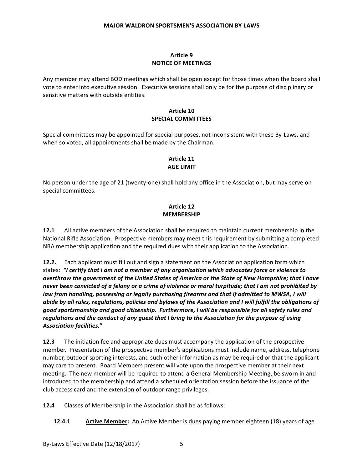# **Article 9 NOTICE OF MEETINGS**

Any member may attend BOD meetings which shall be open except for those times when the board shall vote to enter into executive session. Executive sessions shall only be for the purpose of disciplinary or sensitive matters with outside entities.

## **Article 10 SPECIAL COMMITTEES**

Special committees may be appointed for special purposes, not inconsistent with these By-Laws, and when so voted, all appointments shall be made by the Chairman.

## **Article 11 AGE LIMIT**

No person under the age of 21 (twenty-one) shall hold any office in the Association, but may serve on special committees.

# **Article 12 MEMBERSHIP**

**12.1** All active members of the Association shall be required to maintain current membership in the National Rifle Association. Prospective members may meet this requirement by submitting a completed NRA membership application and the required dues with their application to the Association.

**12.2.** Each applicant must fill out and sign a statement on the Association application form which states: "I certify that I am not a member of any organization which advocates force or violence to *overthrow the government of the United States of America or the State of New Hampshire; that I have* never been convicted of a felony or a crime of violence or moral turpitude; that I am not prohibited by law from handling, possessing or legally purchasing firearms and that if admitted to MWSA, I will *abide by all rules, regulations, policies and bylaws of the Association and I will fulfill the obligations of* good sportsmanship and good citizenship. Furthermore, I will be responsible for all safety rules and *regulations and the conduct of any guest that I bring to the Association for the purpose of using Association facilities."*

**12.3** The initiation fee and appropriate dues must accompany the application of the prospective member. Presentation of the prospective member's applications must include name, address, telephone number, outdoor sporting interests, and such other information as may be required or that the applicant may care to present. Board Members present will vote upon the prospective member at their next meeting. The new member will be required to attend a General Membership Meeting, be sworn in and introduced to the membership and attend a scheduled orientation session before the issuance of the club access card and the extension of outdoor range privileges.

**12.4** Classes of Membership in the Association shall be as follows:

**12.4.1 Active Member:** An Active Member is dues paying member eighteen (18) years of age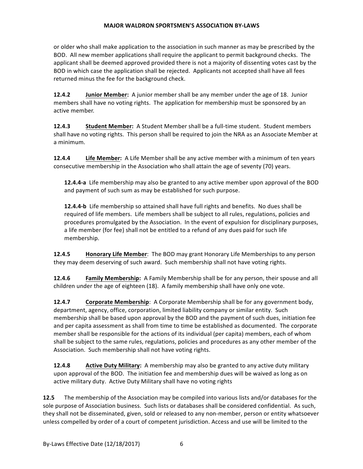or older who shall make application to the association in such manner as may be prescribed by the BOD. All new member applications shall require the applicant to permit background checks. The applicant shall be deemed approved provided there is not a majority of dissenting votes cast by the BOD in which case the application shall be rejected. Applicants not accepted shall have all fees returned minus the fee for the background check.

**12.4.2 Junior Member:** A junior member shall be any member under the age of 18. Junior members shall have no voting rights. The application for membership must be sponsored by an active member.

**12.4.3 Student Member:** A Student Member shall be a full-time student. Student members shall have no voting rights. This person shall be required to join the NRA as an Associate Member at a minimum.

**12.4.4 Life Member:** A Life Member shall be any active member with a minimum of ten years consecutive membership in the Association who shall attain the age of seventy (70) years.

**12.4.4-a** Life membership may also be granted to any active member upon approval of the BOD and payment of such sum as may be established for such purpose.

**12.4.4-b** Life membership so attained shall have full rights and benefits. No dues shall be required of life members. Life members shall be subject to all rules, regulations, policies and procedures promulgated by the Association. In the event of expulsion for disciplinary purposes, a life member (for fee) shall not be entitled to a refund of any dues paid for such life membership.

**12.4.5 Honorary Life Member**: The BOD may grant Honorary Life Memberships to any person they may deem deserving of such award. Such membership shall not have voting rights.

**12.4.6 Family Membership:** A Family Membership shall be for any person, their spouse and all children under the age of eighteen (18). A family membership shall have only one vote.

**12.4.7 Corporate Membership**: A Corporate Membership shall be for any government body, department, agency, office, corporation, limited liability company or similar entity. Such membership shall be based upon approval by the BOD and the payment of such dues, initiation fee and per capita assessment as shall from time to time be established as documented. The corporate member shall be responsible for the actions of its individual (per capita) members, each of whom shall be subject to the same rules, regulations, policies and procedures as any other member of the Association. Such membership shall not have voting rights.

**12.4.8 Active Duty Military:** A membership may also be granted to any active duty military upon approval of the BOD. The initiation fee and membership dues will be waived as long as on active military duty. Active Duty Military shall have no voting rights

**12.5** The membership of the Association may be compiled into various lists and/or databases for the sole purpose of Association business. Such lists or databases shall be considered confidential. As such, they shall not be disseminated, given, sold or released to any non-member, person or entity whatsoever unless compelled by order of a court of competent jurisdiction. Access and use will be limited to the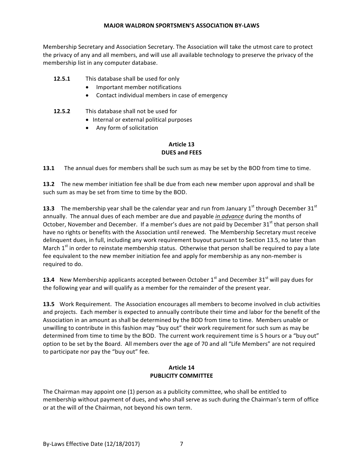Membership Secretary and Association Secretary. The Association will take the utmost care to protect the privacy of any and all members, and will use all available technology to preserve the privacy of the membership list in any computer database.

# **12.5.1** This database shall be used for only

- Important member notifications
- Contact individual members in case of emergency
- **12.5.2** This database shall not be used for
	- Internal or external political purposes
	- Any form of solicitation

# **Article 13 DUES and FEES**

**13.1** The annual dues for members shall be such sum as may be set by the BOD from time to time.

**13.2** The new member initiation fee shall be due from each new member upon approval and shall be such sum as may be set from time to time by the BOD.

**13.3** The membership year shall be the calendar year and run from January  $1<sup>st</sup>$  through December  $31<sup>st</sup>$ annually. The annual dues of each member are due and payable *in advance* during the months of October, November and December. If a member's dues are not paid by December  $31^{st}$  that person shall have no rights or benefits with the Association until renewed. The Membership Secretary must receive delinquent dues, in full, including any work requirement buyout pursuant to Section 13.5, no later than March  $1^{st}$  in order to reinstate membership status. Otherwise that person shall be required to pay a late fee equivalent to the new member initiation fee and apply for membership as any non-member is required to do.

**13.4** New Membership applicants accepted between October 1<sup>st</sup> and December 31<sup>st</sup> will pay dues for the following year and will qualify as a member for the remainder of the present year.

**13.5** Work Requirement. The Association encourages all members to become involved in club activities and projects. Each member is expected to annually contribute their time and labor for the benefit of the Association in an amount as shall be determined by the BOD from time to time. Members unable or unwilling to contribute in this fashion may "buy out" their work requirement for such sum as may be determined from time to time by the BOD. The current work requirement time is 5 hours or a "buy out" option to be set by the Board. All members over the age of 70 and all "Life Members" are not required to participate nor pay the "buy out" fee.

#### **Article 14 PUBLICITY COMMITTEE**

The Chairman may appoint one  $(1)$  person as a publicity committee, who shall be entitled to membership without payment of dues, and who shall serve as such during the Chairman's term of office or at the will of the Chairman, not beyond his own term.